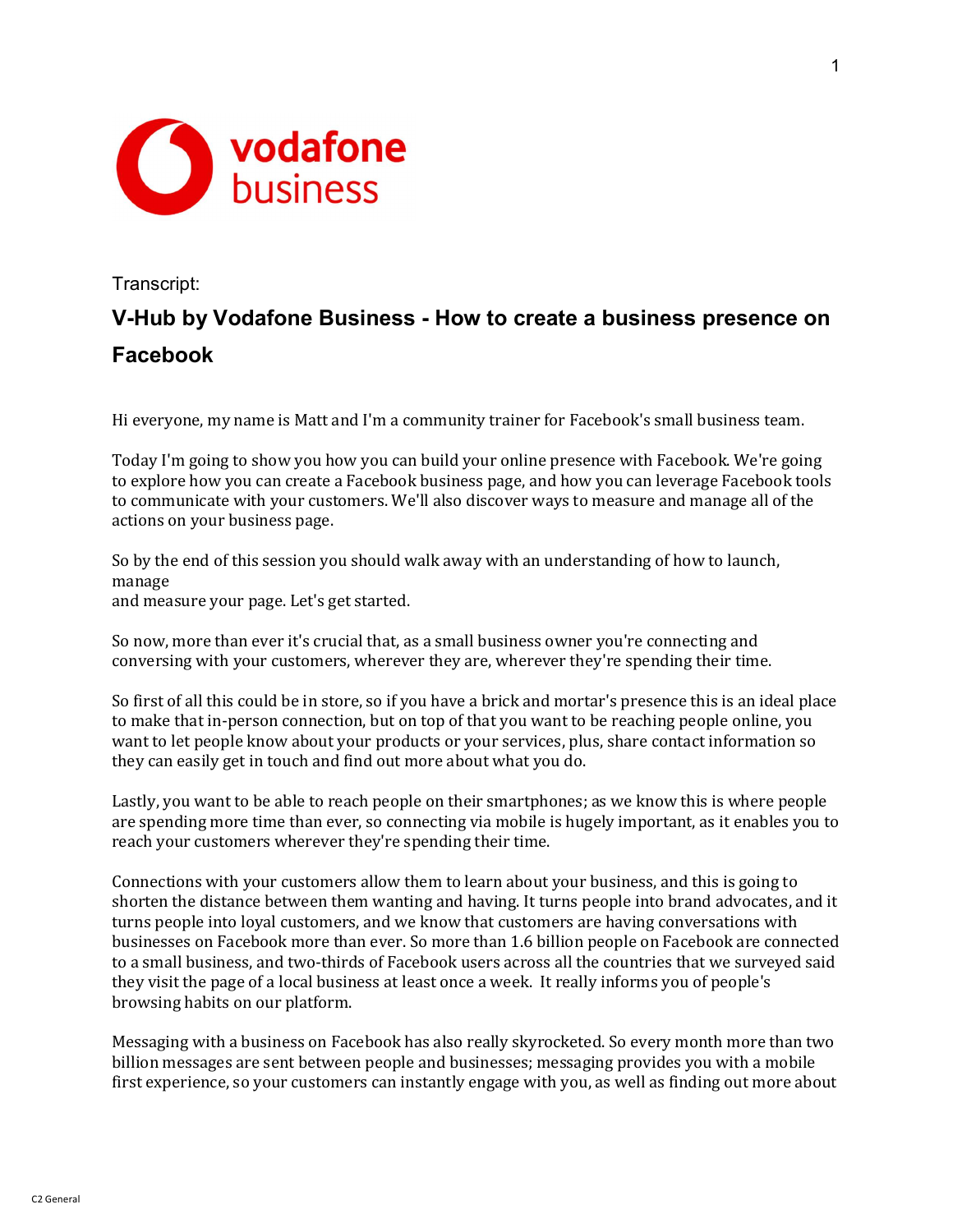

## Transcript: V-Hub by Vodafone Business - How to create a business presence on Facebook

Hi everyone, my name is Matt and I'm a community trainer for Facebook's small business team.

Today I'm going to show you how you can build your online presence with Facebook. We're going to explore how you can create a Facebook business page, and how you can leverage Facebook tools to communicate with your customers. We'll also discover ways to measure and manage all of the actions on your business page.

So by the end of this session you should walk away with an understanding of how to launch, manage and measure your page. Let's get started.

So now, more than ever it's crucial that, as a small business owner you're connecting and conversing with your customers, wherever they are, wherever they're spending their time.

So first of all this could be in store, so if you have a brick and mortar's presence this is an ideal place to make that in-person connection, but on top of that you want to be reaching people online, you want to let people know about your products or your services, plus, share contact information so they can easily get in touch and find out more about what you do.

Lastly, you want to be able to reach people on their smartphones; as we know this is where people are spending more time than ever, so connecting via mobile is hugely important, as it enables you to reach your customers wherever they're spending their time.

Connections with your customers allow them to learn about your business, and this is going to shorten the distance between them wanting and having. It turns people into brand advocates, and it turns people into loyal customers, and we know that customers are having conversations with businesses on Facebook more than ever. So more than 1.6 billion people on Facebook are connected to a small business, and two-thirds of Facebook users across all the countries that we surveyed said they visit the page of a local business at least once a week. It really informs you of people's browsing habits on our platform.

Messaging with a business on Facebook has also really skyrocketed. So every month more than two billion messages are sent between people and businesses; messaging provides you with a mobile first experience, so your customers can instantly engage with you, as well as finding out more about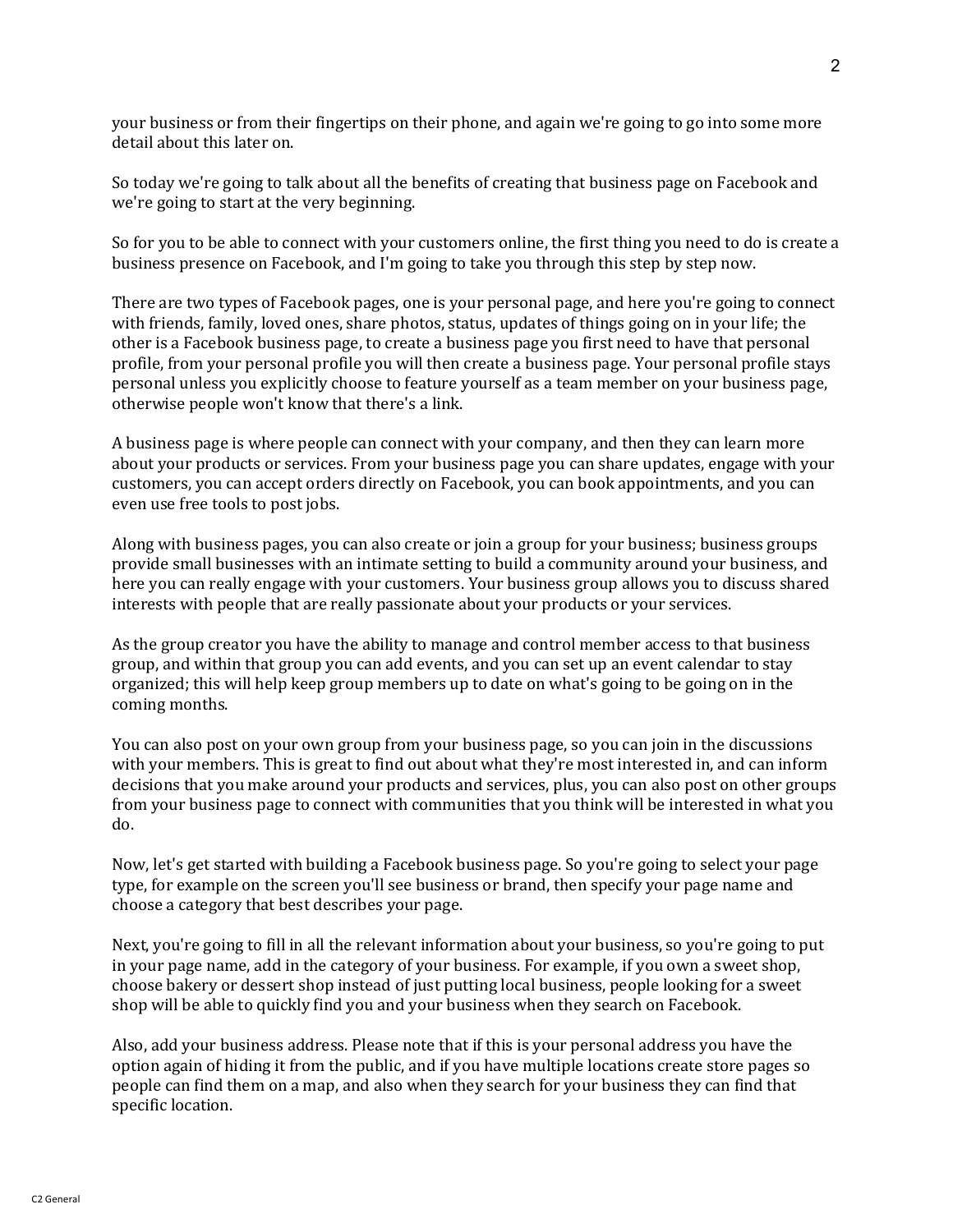your business or from their fingertips on their phone, and again we're going to go into some more detail about this later on.

So today we're going to talk about all the benefits of creating that business page on Facebook and we're going to start at the very beginning.

So for you to be able to connect with your customers online, the first thing you need to do is create a business presence on Facebook, and I'm going to take you through this step by step now.

There are two types of Facebook pages, one is your personal page, and here you're going to connect with friends, family, loved ones, share photos, status, updates of things going on in your life; the other is a Facebook business page, to create a business page you first need to have that personal profile, from your personal profile you will then create a business page. Your personal profile stays personal unless you explicitly choose to feature yourself as a team member on your business page, otherwise people won't know that there's a link.

A business page is where people can connect with your company, and then they can learn more about your products or services. From your business page you can share updates, engage with your customers, you can accept orders directly on Facebook, you can book appointments, and you can even use free tools to post jobs.

Along with business pages, you can also create or join a group for your business; business groups provide small businesses with an intimate setting to build a community around your business, and here you can really engage with your customers. Your business group allows you to discuss shared interests with people that are really passionate about your products or your services.

As the group creator you have the ability to manage and control member access to that business group, and within that group you can add events, and you can set up an event calendar to stay organized; this will help keep group members up to date on what's going to be going on in the coming months.

You can also post on your own group from your business page, so you can join in the discussions with your members. This is great to find out about what they're most interested in, and can inform decisions that you make around your products and services, plus, you can also post on other groups from your business page to connect with communities that you think will be interested in what you do.

Now, let's get started with building a Facebook business page. So you're going to select your page type, for example on the screen you'll see business or brand, then specify your page name and choose a category that best describes your page.

Next, you're going to fill in all the relevant information about your business, so you're going to put in your page name, add in the category of your business. For example, if you own a sweet shop, choose bakery or dessert shop instead of just putting local business, people looking for a sweet shop will be able to quickly find you and your business when they search on Facebook.

Also, add your business address. Please note that if this is your personal address you have the option again of hiding it from the public, and if you have multiple locations create store pages so people can find them on a map, and also when they search for your business they can find that specific location.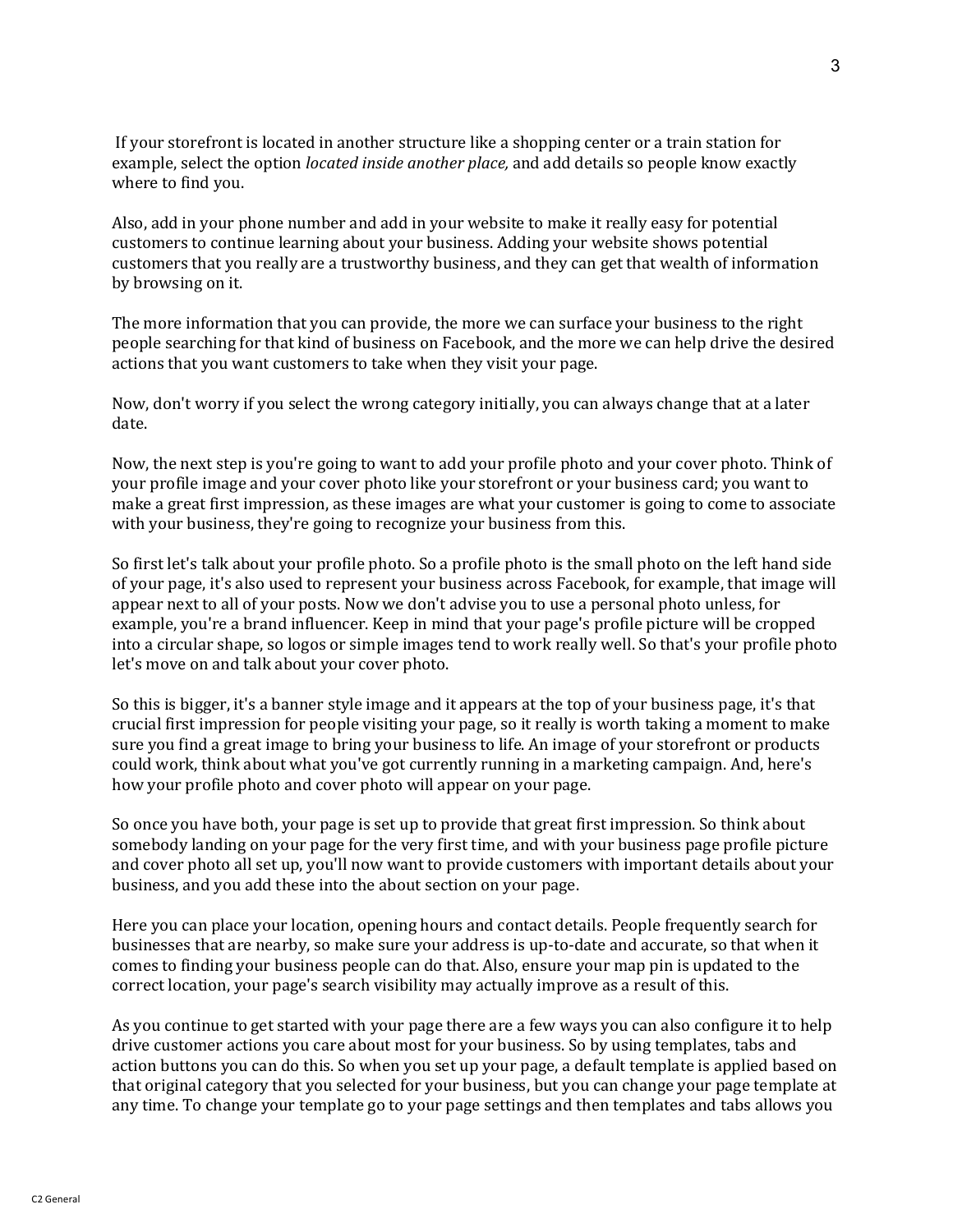If your storefront is located in another structure like a shopping center or a train station for example, select the option located inside another place, and add details so people know exactly where to find you.

Also, add in your phone number and add in your website to make it really easy for potential customers to continue learning about your business. Adding your website shows potential customers that you really are a trustworthy business, and they can get that wealth of information by browsing on it.

The more information that you can provide, the more we can surface your business to the right people searching for that kind of business on Facebook, and the more we can help drive the desired actions that you want customers to take when they visit your page.

Now, don't worry if you select the wrong category initially, you can always change that at a later date.

Now, the next step is you're going to want to add your profile photo and your cover photo. Think of your profile image and your cover photo like your storefront or your business card; you want to make a great first impression, as these images are what your customer is going to come to associate with your business, they're going to recognize your business from this.

So first let's talk about your profile photo. So a profile photo is the small photo on the left hand side of your page, it's also used to represent your business across Facebook, for example, that image will appear next to all of your posts. Now we don't advise you to use a personal photo unless, for example, you're a brand influencer. Keep in mind that your page's profile picture will be cropped into a circular shape, so logos or simple images tend to work really well. So that's your profile photo let's move on and talk about your cover photo.

So this is bigger, it's a banner style image and it appears at the top of your business page, it's that crucial first impression for people visiting your page, so it really is worth taking a moment to make sure you find a great image to bring your business to life. An image of your storefront or products could work, think about what you've got currently running in a marketing campaign. And, here's how your profile photo and cover photo will appear on your page.

So once you have both, your page is set up to provide that great first impression. So think about somebody landing on your page for the very first time, and with your business page profile picture and cover photo all set up, you'll now want to provide customers with important details about your business, and you add these into the about section on your page.

Here you can place your location, opening hours and contact details. People frequently search for businesses that are nearby, so make sure your address is up-to-date and accurate, so that when it comes to finding your business people can do that. Also, ensure your map pin is updated to the correct location, your page's search visibility may actually improve as a result of this.

As you continue to get started with your page there are a few ways you can also configure it to help drive customer actions you care about most for your business. So by using templates, tabs and action buttons you can do this. So when you set up your page, a default template is applied based on that original category that you selected for your business, but you can change your page template at any time. To change your template go to your page settings and then templates and tabs allows you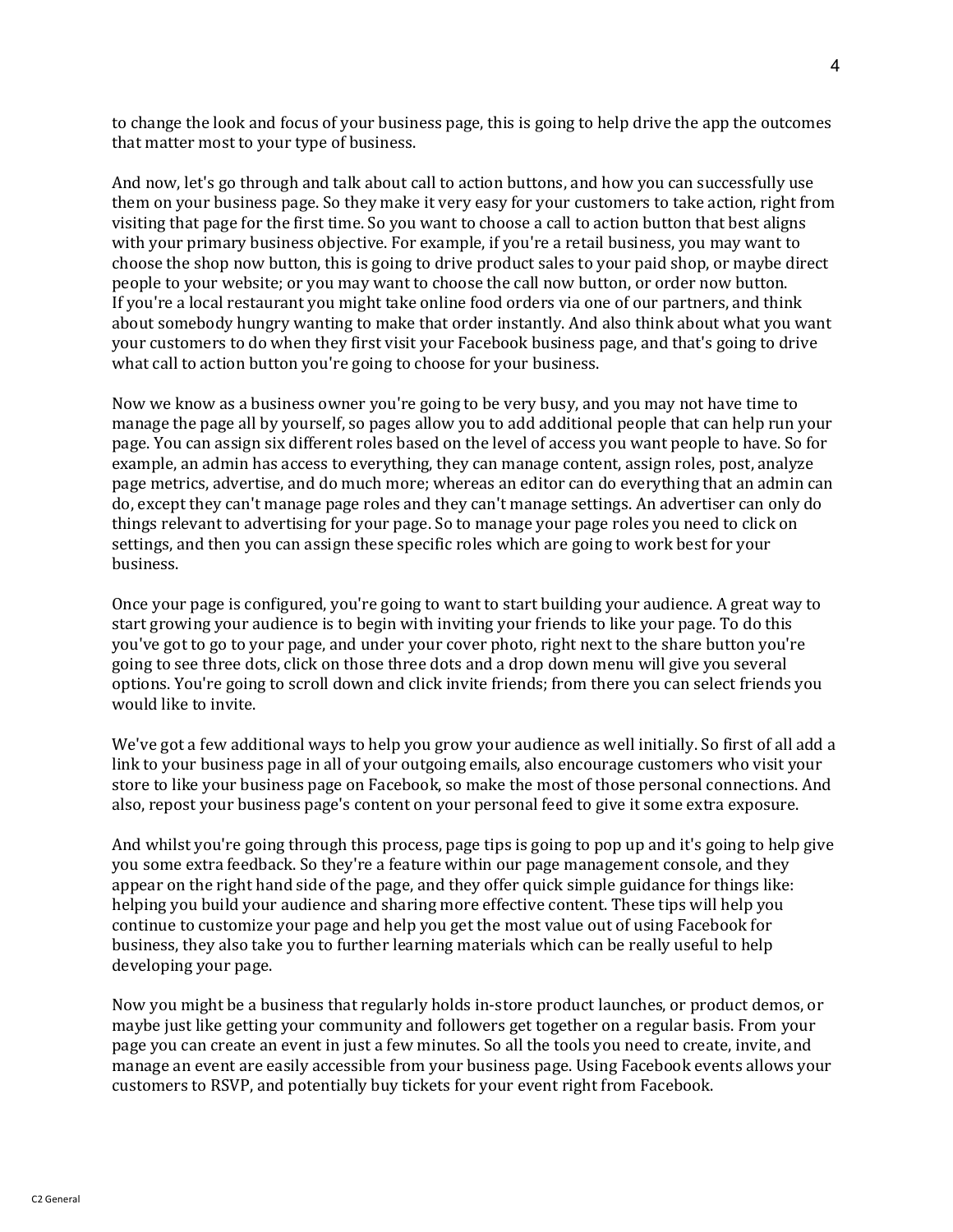to change the look and focus of your business page, this is going to help drive the app the outcomes that matter most to your type of business.

And now, let's go through and talk about call to action buttons, and how you can successfully use them on your business page. So they make it very easy for your customers to take action, right from visiting that page for the first time. So you want to choose a call to action button that best aligns with your primary business objective. For example, if you're a retail business, you may want to choose the shop now button, this is going to drive product sales to your paid shop, or maybe direct people to your website; or you may want to choose the call now button, or order now button. If you're a local restaurant you might take online food orders via one of our partners, and think about somebody hungry wanting to make that order instantly. And also think about what you want your customers to do when they first visit your Facebook business page, and that's going to drive what call to action button you're going to choose for your business.

Now we know as a business owner you're going to be very busy, and you may not have time to manage the page all by yourself, so pages allow you to add additional people that can help run your page. You can assign six different roles based on the level of access you want people to have. So for example, an admin has access to everything, they can manage content, assign roles, post, analyze page metrics, advertise, and do much more; whereas an editor can do everything that an admin can do, except they can't manage page roles and they can't manage settings. An advertiser can only do things relevant to advertising for your page. So to manage your page roles you need to click on settings, and then you can assign these specific roles which are going to work best for your business.

Once your page is configured, you're going to want to start building your audience. A great way to start growing your audience is to begin with inviting your friends to like your page. To do this you've got to go to your page, and under your cover photo, right next to the share button you're going to see three dots, click on those three dots and a drop down menu will give you several options. You're going to scroll down and click invite friends; from there you can select friends you would like to invite.

We've got a few additional ways to help you grow your audience as well initially. So first of all add a link to your business page in all of your outgoing emails, also encourage customers who visit your store to like your business page on Facebook, so make the most of those personal connections. And also, repost your business page's content on your personal feed to give it some extra exposure.

And whilst you're going through this process, page tips is going to pop up and it's going to help give you some extra feedback. So they're a feature within our page management console, and they appear on the right hand side of the page, and they offer quick simple guidance for things like: helping you build your audience and sharing more effective content. These tips will help you continue to customize your page and help you get the most value out of using Facebook for business, they also take you to further learning materials which can be really useful to help developing your page.

Now you might be a business that regularly holds in-store product launches, or product demos, or maybe just like getting your community and followers get together on a regular basis. From your page you can create an event in just a few minutes. So all the tools you need to create, invite, and manage an event are easily accessible from your business page. Using Facebook events allows your customers to RSVP, and potentially buy tickets for your event right from Facebook.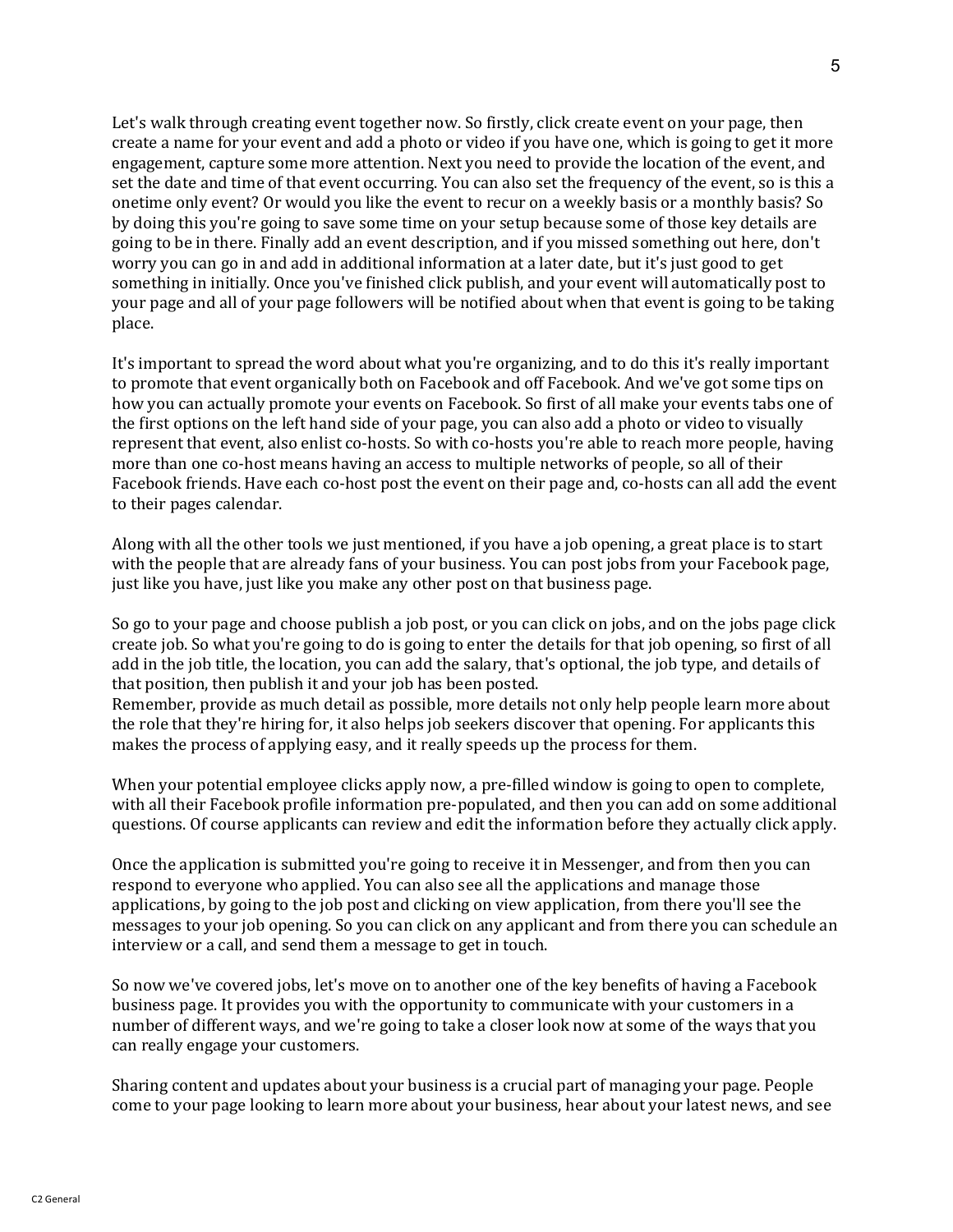Let's walk through creating event together now. So firstly, click create event on your page, then create a name for your event and add a photo or video if you have one, which is going to get it more engagement, capture some more attention. Next you need to provide the location of the event, and set the date and time of that event occurring. You can also set the frequency of the event, so is this a onetime only event? Or would you like the event to recur on a weekly basis or a monthly basis? So by doing this you're going to save some time on your setup because some of those key details are going to be in there. Finally add an event description, and if you missed something out here, don't worry you can go in and add in additional information at a later date, but it's just good to get something in initially. Once you've finished click publish, and your event will automatically post to your page and all of your page followers will be notified about when that event is going to be taking place.

It's important to spread the word about what you're organizing, and to do this it's really important to promote that event organically both on Facebook and off Facebook. And we've got some tips on how you can actually promote your events on Facebook. So first of all make your events tabs one of the first options on the left hand side of your page, you can also add a photo or video to visually represent that event, also enlist co-hosts. So with co-hosts you're able to reach more people, having more than one co-host means having an access to multiple networks of people, so all of their Facebook friends. Have each co-host post the event on their page and, co-hosts can all add the event to their pages calendar.

Along with all the other tools we just mentioned, if you have a job opening, a great place is to start with the people that are already fans of your business. You can post jobs from your Facebook page, just like you have, just like you make any other post on that business page.

So go to your page and choose publish a job post, or you can click on jobs, and on the jobs page click create job. So what you're going to do is going to enter the details for that job opening, so first of all add in the job title, the location, you can add the salary, that's optional, the job type, and details of that position, then publish it and your job has been posted.

Remember, provide as much detail as possible, more details not only help people learn more about the role that they're hiring for, it also helps job seekers discover that opening. For applicants this makes the process of applying easy, and it really speeds up the process for them.

When your potential employee clicks apply now, a pre-filled window is going to open to complete, with all their Facebook profile information pre-populated, and then you can add on some additional questions. Of course applicants can review and edit the information before they actually click apply.

Once the application is submitted you're going to receive it in Messenger, and from then you can respond to everyone who applied. You can also see all the applications and manage those applications, by going to the job post and clicking on view application, from there you'll see the messages to your job opening. So you can click on any applicant and from there you can schedule an interview or a call, and send them a message to get in touch.

So now we've covered jobs, let's move on to another one of the key benefits of having a Facebook business page. It provides you with the opportunity to communicate with your customers in a number of different ways, and we're going to take a closer look now at some of the ways that you can really engage your customers.

Sharing content and updates about your business is a crucial part of managing your page. People come to your page looking to learn more about your business, hear about your latest news, and see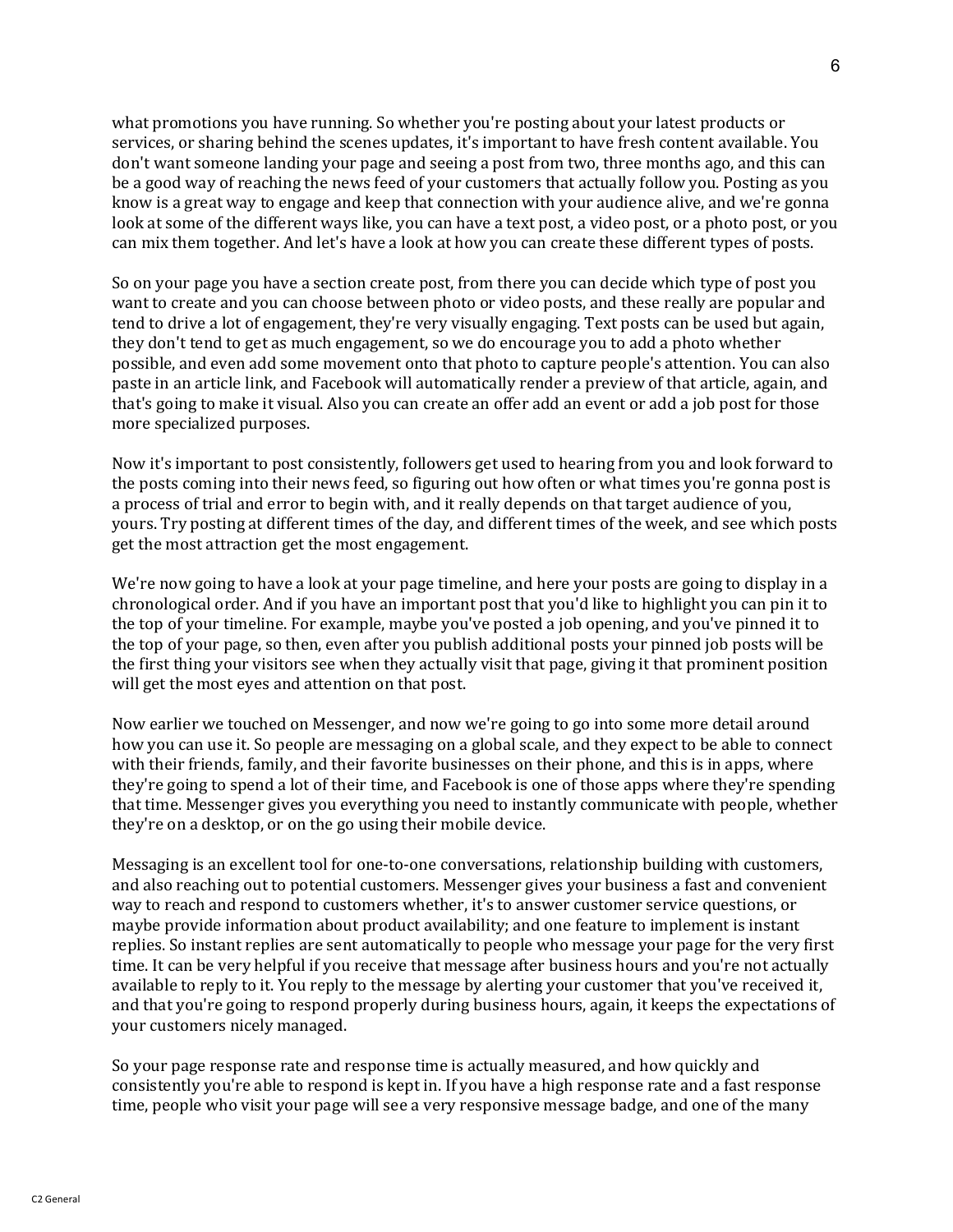what promotions you have running. So whether you're posting about your latest products or services, or sharing behind the scenes updates, it's important to have fresh content available. You don't want someone landing your page and seeing a post from two, three months ago, and this can be a good way of reaching the news feed of your customers that actually follow you. Posting as you know is a great way to engage and keep that connection with your audience alive, and we're gonna look at some of the different ways like, you can have a text post, a video post, or a photo post, or you can mix them together. And let's have a look at how you can create these different types of posts.

So on your page you have a section create post, from there you can decide which type of post you want to create and you can choose between photo or video posts, and these really are popular and tend to drive a lot of engagement, they're very visually engaging. Text posts can be used but again, they don't tend to get as much engagement, so we do encourage you to add a photo whether possible, and even add some movement onto that photo to capture people's attention. You can also paste in an article link, and Facebook will automatically render a preview of that article, again, and that's going to make it visual. Also you can create an offer add an event or add a job post for those more specialized purposes.

Now it's important to post consistently, followers get used to hearing from you and look forward to the posts coming into their news feed, so figuring out how often or what times you're gonna post is a process of trial and error to begin with, and it really depends on that target audience of you, yours. Try posting at different times of the day, and different times of the week, and see which posts get the most attraction get the most engagement.

We're now going to have a look at your page timeline, and here your posts are going to display in a chronological order. And if you have an important post that you'd like to highlight you can pin it to the top of your timeline. For example, maybe you've posted a job opening, and you've pinned it to the top of your page, so then, even after you publish additional posts your pinned job posts will be the first thing your visitors see when they actually visit that page, giving it that prominent position will get the most eyes and attention on that post.

Now earlier we touched on Messenger, and now we're going to go into some more detail around how you can use it. So people are messaging on a global scale, and they expect to be able to connect with their friends, family, and their favorite businesses on their phone, and this is in apps, where they're going to spend a lot of their time, and Facebook is one of those apps where they're spending that time. Messenger gives you everything you need to instantly communicate with people, whether they're on a desktop, or on the go using their mobile device.

Messaging is an excellent tool for one-to-one conversations, relationship building with customers, and also reaching out to potential customers. Messenger gives your business a fast and convenient way to reach and respond to customers whether, it's to answer customer service questions, or maybe provide information about product availability; and one feature to implement is instant replies. So instant replies are sent automatically to people who message your page for the very first time. It can be very helpful if you receive that message after business hours and you're not actually available to reply to it. You reply to the message by alerting your customer that you've received it, and that you're going to respond properly during business hours, again, it keeps the expectations of your customers nicely managed.

So your page response rate and response time is actually measured, and how quickly and consistently you're able to respond is kept in. If you have a high response rate and a fast response time, people who visit your page will see a very responsive message badge, and one of the many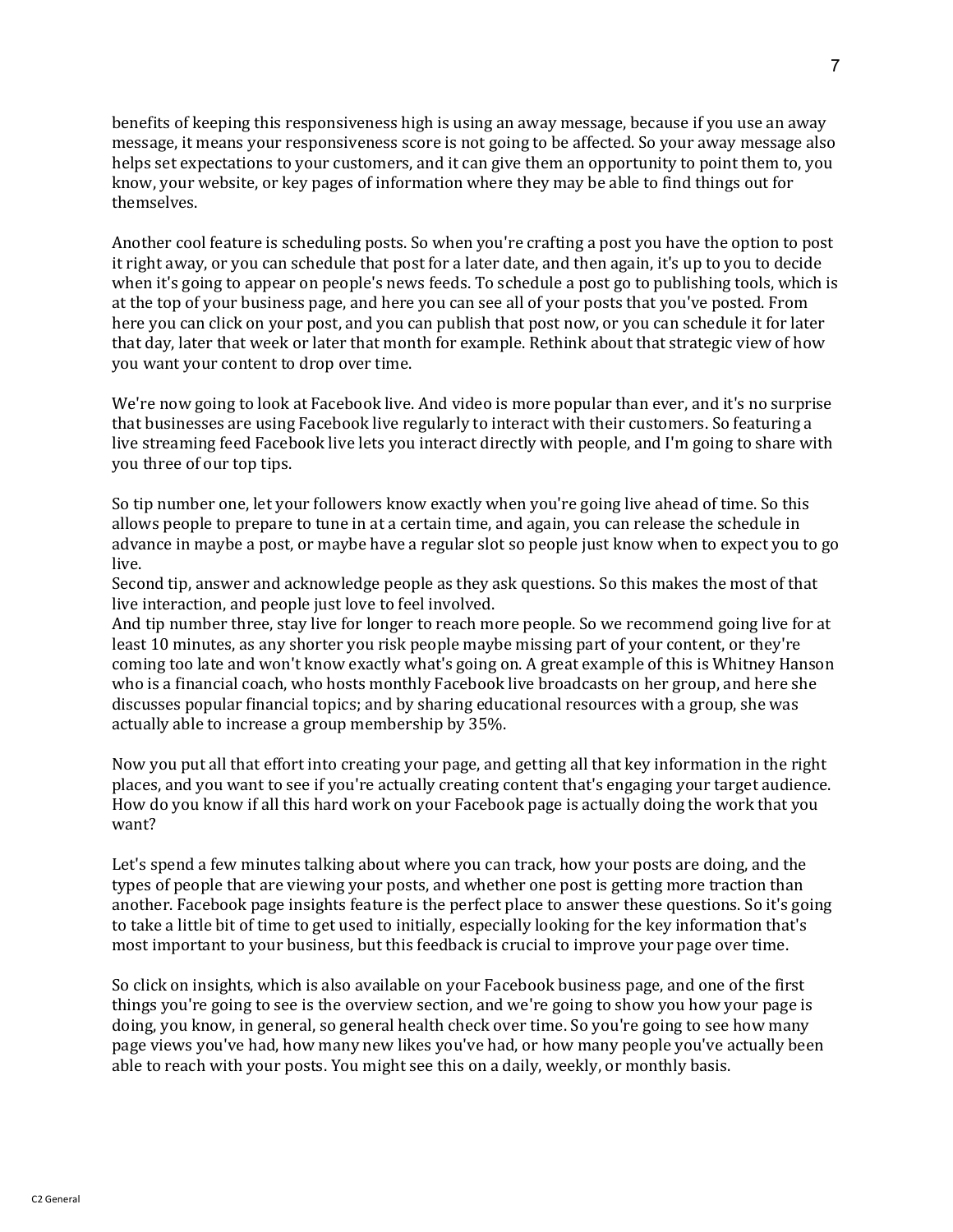benefits of keeping this responsiveness high is using an away message, because if you use an away message, it means your responsiveness score is not going to be affected. So your away message also helps set expectations to your customers, and it can give them an opportunity to point them to, you know, your website, or key pages of information where they may be able to find things out for themselves.

Another cool feature is scheduling posts. So when you're crafting a post you have the option to post it right away, or you can schedule that post for a later date, and then again, it's up to you to decide when it's going to appear on people's news feeds. To schedule a post go to publishing tools, which is at the top of your business page, and here you can see all of your posts that you've posted. From here you can click on your post, and you can publish that post now, or you can schedule it for later that day, later that week or later that month for example. Rethink about that strategic view of how you want your content to drop over time.

We're now going to look at Facebook live. And video is more popular than ever, and it's no surprise that businesses are using Facebook live regularly to interact with their customers. So featuring a live streaming feed Facebook live lets you interact directly with people, and I'm going to share with you three of our top tips.

So tip number one, let your followers know exactly when you're going live ahead of time. So this allows people to prepare to tune in at a certain time, and again, you can release the schedule in advance in maybe a post, or maybe have a regular slot so people just know when to expect you to go live.

Second tip, answer and acknowledge people as they ask questions. So this makes the most of that live interaction, and people just love to feel involved.

And tip number three, stay live for longer to reach more people. So we recommend going live for at least 10 minutes, as any shorter you risk people maybe missing part of your content, or they're coming too late and won't know exactly what's going on. A great example of this is Whitney Hanson who is a financial coach, who hosts monthly Facebook live broadcasts on her group, and here she discusses popular financial topics; and by sharing educational resources with a group, she was actually able to increase a group membership by 35%.

Now you put all that effort into creating your page, and getting all that key information in the right places, and you want to see if you're actually creating content that's engaging your target audience. How do you know if all this hard work on your Facebook page is actually doing the work that you want?

Let's spend a few minutes talking about where you can track, how your posts are doing, and the types of people that are viewing your posts, and whether one post is getting more traction than another. Facebook page insights feature is the perfect place to answer these questions. So it's going to take a little bit of time to get used to initially, especially looking for the key information that's most important to your business, but this feedback is crucial to improve your page over time.

So click on insights, which is also available on your Facebook business page, and one of the first things you're going to see is the overview section, and we're going to show you how your page is doing, you know, in general, so general health check over time. So you're going to see how many page views you've had, how many new likes you've had, or how many people you've actually been able to reach with your posts. You might see this on a daily, weekly, or monthly basis.